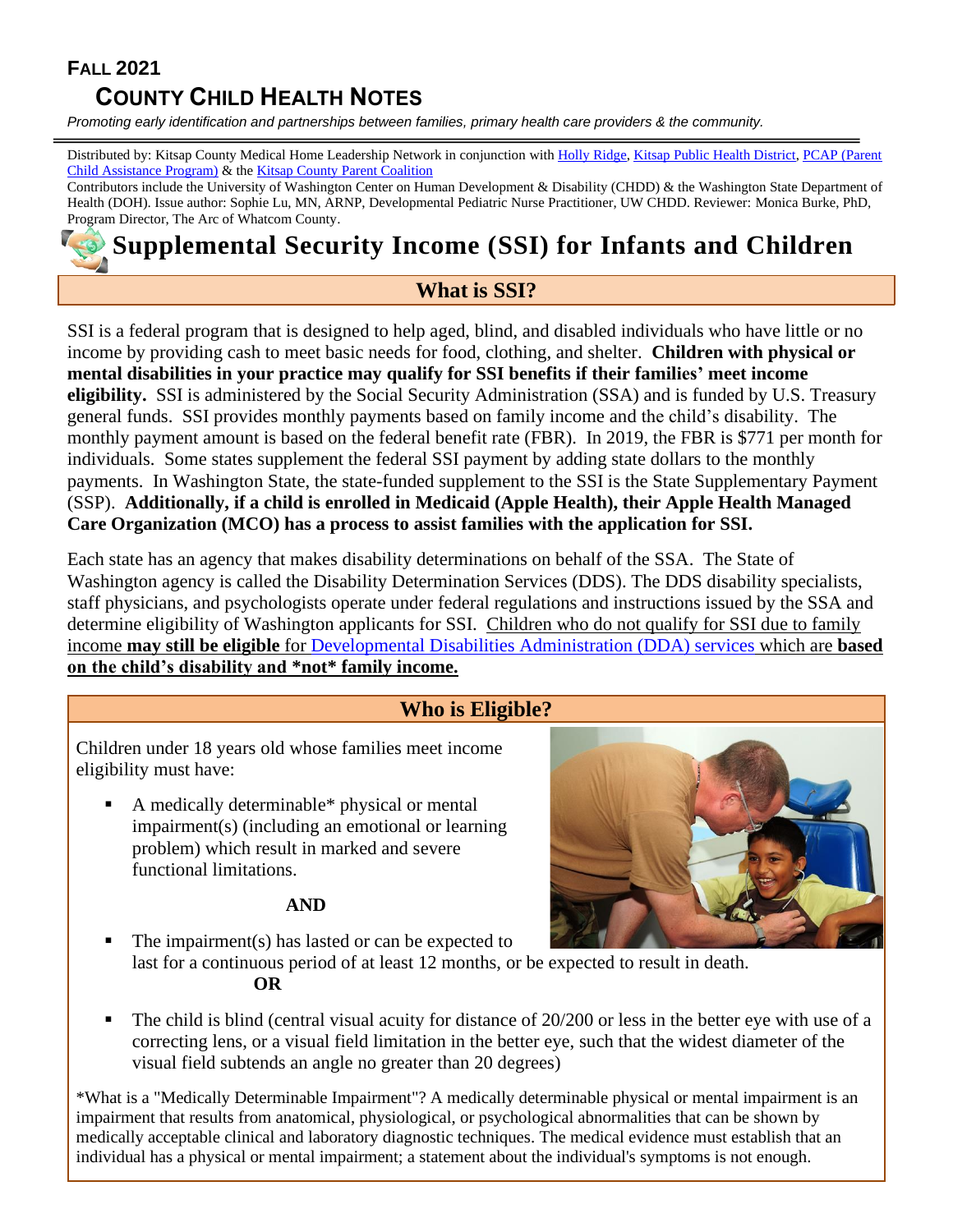# **FALL 2021**

# **COUNTY CHILD HEALTH NOTES**

*Promoting early identification and partnerships between families, primary health care providers & the community.*

Distributed by: Kitsap County Medical Home Leadership Network in conjunction wit[h Holly Ridge,](https://hollyridge.org/) [Kitsap Public Health District,](http://www.kitsappublichealth.org/communityHealth/CSHCN.php) PCAP (Parent [Child Assistance Program\)](http://depts.washington.edu/pcapuw/) & the [Kitsap County Parent Coalition](http://www.kitsapcountyparentcoalition.com/index.html)

Contributors include the University of Washington Center on Human Development & Disability (CHDD) & the Washington State Department of Health (DOH). Issue author: Sophie Lu, MN, ARNP, Developmental Pediatric Nurse Practitioner, UW CHDD. Reviewer: Monica Burke, PhD, Program Director, The Arc of Whatcom County.

# **Supplemental Security Income (SSI) for Infants and Children**

## **What is SSI?**

SSI is a federal program that is designed to help aged, blind, and disabled individuals who have little or no income by providing cash to meet basic needs for food, clothing, and shelter. **Children with physical or mental disabilities in your practice may qualify for SSI benefits if their families' meet income eligibility.** SSI is administered by the Social Security Administration (SSA) and is funded by U.S. Treasury general funds. SSI provides monthly payments based on family income and the child's disability. The monthly payment amount is based on the federal benefit rate (FBR). In 2019, the FBR is \$771 per month for individuals. Some states supplement the federal SSI payment by adding state dollars to the monthly payments. In Washington State, the state-funded supplement to the SSI is the State Supplementary Payment (SSP). **Additionally, if a child is enrolled in Medicaid (Apple Health), their Apple Health Managed Care Organization (MCO) has a process to assist families with the application for SSI.**

Each state has an agency that makes disability determinations on behalf of the SSA. The State of Washington agency is called the Disability Determination Services (DDS). The DDS disability specialists, staff physicians, and psychologists operate under federal regulations and instructions issued by the SSA and determine eligibility of Washington applicants for SSI. Children who do not qualify for SSI due to family income **may still be eligible** for [Developmental Disabilities Administration \(DDA\) services](https://whatcomtakingaction.files.wordpress.com/2015/03/dda-overviewhow-to-apply-2018-10-30.pdf) which are **based on the child's disability and \*not\* family income.**

## **Who is Eligible?**

Children under 18 years old whose families meet income eligibility must have:

A medically determinable\* physical or mental impairment(s) (including an emotional or learning problem) which result in marked and severe functional limitations.

#### **AND**



- The impairment $(s)$  has lasted or can be expected to last for a continuous period of at least 12 months, or be expected to result in death.  **OR**
- The child is blind (central visual acuity for distance of 20/200 or less in the better eye with use of a correcting lens, or a visual field limitation in the better eye, such that the widest diameter of the visual field subtends an angle no greater than 20 degrees)

\*What is a "Medically Determinable Impairment"? A medically determinable physical or mental impairment is an impairment that results from anatomical, physiological, or psychological abnormalities that can be shown by medically acceptable clinical and laboratory diagnostic techniques. The medical evidence must establish that an individual has a physical or mental impairment; a statement about the individual's symptoms is not enough.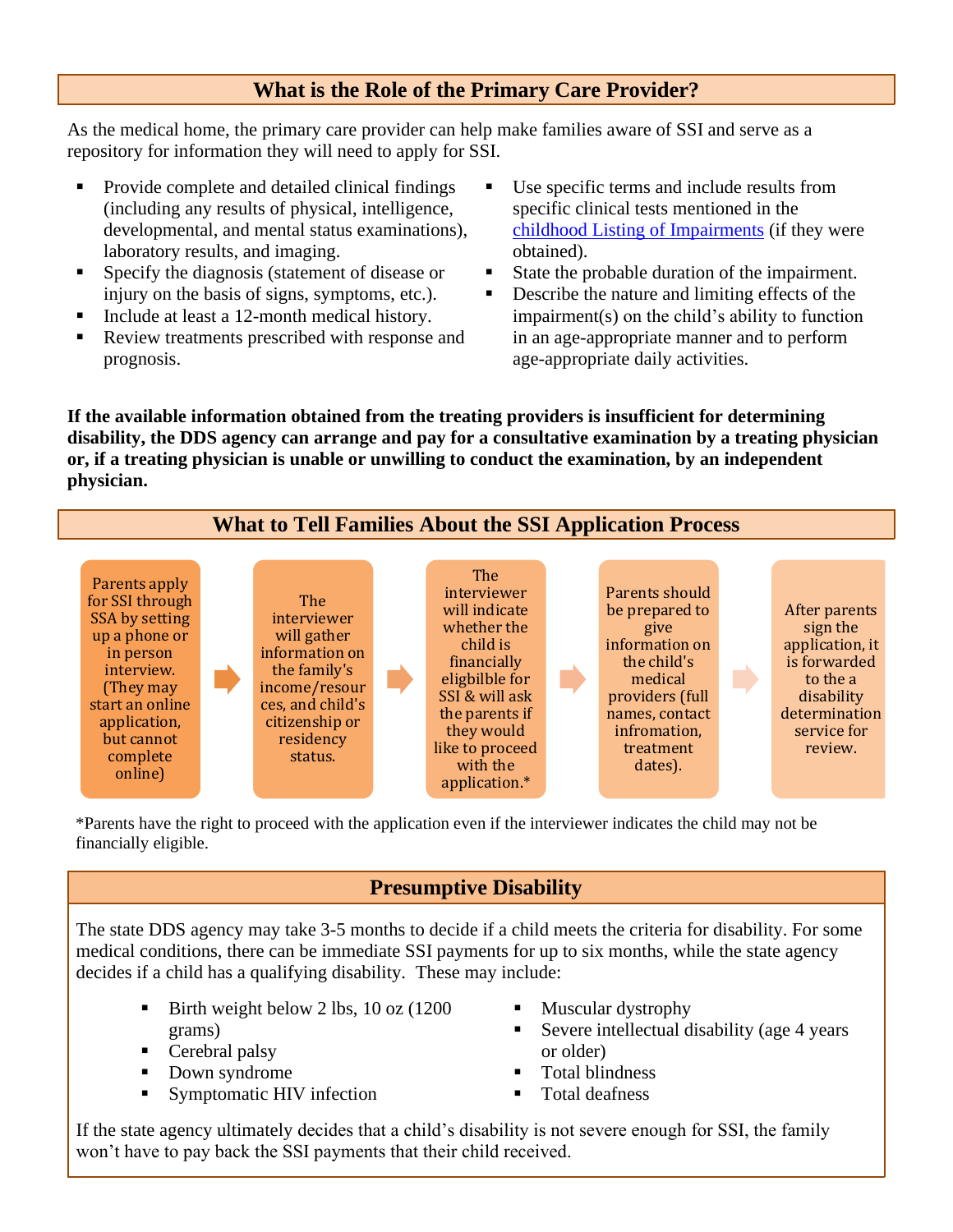# **What is the Role of the Primary Care Provider?**

As the medical home, the primary care provider can help make families aware of SSI and serve as a repository for information they will need to apply for SSI.

- Provide complete and detailed clinical findings (including any results of physical, intelligence, developmental, and mental status examinations), laboratory results, and imaging.
- **Exercify the diagnosis (statement of disease or** injury on the basis of signs, symptoms, etc.).
- Include at least a 12-month medical history.
- Review treatments prescribed with response and prognosis.
- Use specific terms and include results from specific clinical tests mentioned in the [childhood Listing of Impairments](https://www.ssa.gov/disability/professionals/bluebook/ChildhoodListings.htm) (if they were obtained).
- State the probable duration of the impairment.
- Describe the nature and limiting effects of the impairment(s) on the child's ability to function in an age-appropriate manner and to perform age-appropriate daily activities.

**If the available information obtained from the treating providers is insufficient for determining disability, the DDS agency can arrange and pay for a consultative examination by a treating physician or, if a treating physician is unable or unwilling to conduct the examination, by an independent physician.**

# **What to Tell Families About the SSI Application Process**



\*Parents have the right to proceed with the application even if the interviewer indicates the child may not be financially eligible.

# **Presumptive Disability**

The state DDS agency may take 3-5 months to decide if a child meets the criteria for disability. For some medical conditions, there can be immediate SSI payments for up to six months, while the state agency decides if a child has a qualifying disability. These may include:

- Birth weight below 2 lbs, 10 oz (1200) grams)
- Cerebral palsy
- Down syndrome
- Symptomatic HIV infection
- Muscular dystrophy
- Severe intellectual disability (age 4 years or older)
- **Total blindness**
- Total deafness

If the state agency ultimately decides that a child's disability is not severe enough for SSI, the family won't have to pay back the SSI payments that their child received.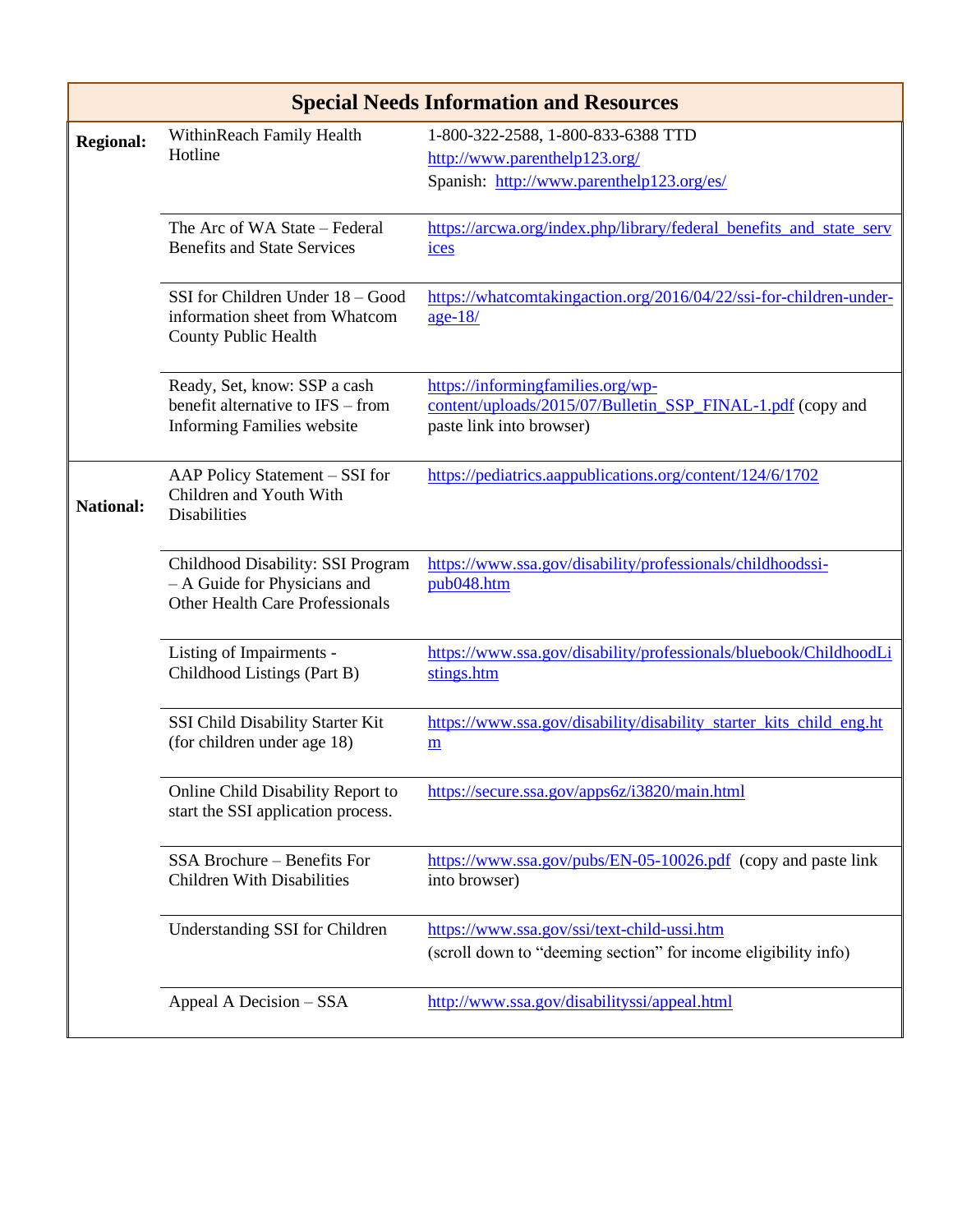| <b>Special Needs Information and Resources</b> |                                                                                                             |                                                                                                                             |  |
|------------------------------------------------|-------------------------------------------------------------------------------------------------------------|-----------------------------------------------------------------------------------------------------------------------------|--|
| <b>Regional:</b>                               | WithinReach Family Health<br>Hotline                                                                        | 1-800-322-2588, 1-800-833-6388 TTD<br>http://www.parenthelp123.org/<br>Spanish: http://www.parenthelp123.org/es/            |  |
|                                                | The Arc of WA State - Federal<br><b>Benefits and State Services</b>                                         | https://arcwa.org/index.php/library/federal_benefits_and_state_serv<br>ices                                                 |  |
|                                                | SSI for Children Under 18 - Good<br>information sheet from Whatcom<br><b>County Public Health</b>           | https://whatcomtakingaction.org/2016/04/22/ssi-for-children-under-<br>$age-18/$                                             |  |
|                                                | Ready, Set, know: SSP a cash<br>benefit alternative to IFS – from<br><b>Informing Families website</b>      | https://informingfamilies.org/wp-<br>content/uploads/2015/07/Bulletin_SSP_FINAL-1.pdf (copy and<br>paste link into browser) |  |
| <b>National:</b>                               | AAP Policy Statement - SSI for<br>Children and Youth With<br><b>Disabilities</b>                            | https://pediatrics.aappublications.org/content/124/6/1702                                                                   |  |
|                                                | Childhood Disability: SSI Program<br>- A Guide for Physicians and<br><b>Other Health Care Professionals</b> | https://www.ssa.gov/disability/professionals/childhoodssi-<br>pub048.htm                                                    |  |
|                                                | Listing of Impairments -<br>Childhood Listings (Part B)                                                     | https://www.ssa.gov/disability/professionals/bluebook/ChildhoodLi<br>stings.htm                                             |  |
|                                                | SSI Child Disability Starter Kit<br>(for children under age 18)                                             | https://www.ssa.gov/disability/disability starter kits child eng.ht<br>m                                                    |  |
|                                                | Online Child Disability Report to<br>start the SSI application process.                                     | https://secure.ssa.gov/apps6z/i3820/main.html                                                                               |  |
|                                                | SSA Brochure - Benefits For<br><b>Children With Disabilities</b>                                            | https://www.ssa.gov/pubs/EN-05-10026.pdf (copy and paste link<br>into browser)                                              |  |
|                                                | Understanding SSI for Children                                                                              | https://www.ssa.gov/ssi/text-child-ussi.htm<br>(scroll down to "deeming section" for income eligibility info)               |  |
|                                                | Appeal A Decision - SSA                                                                                     | http://www.ssa.gov/disabilityssi/appeal.html                                                                                |  |